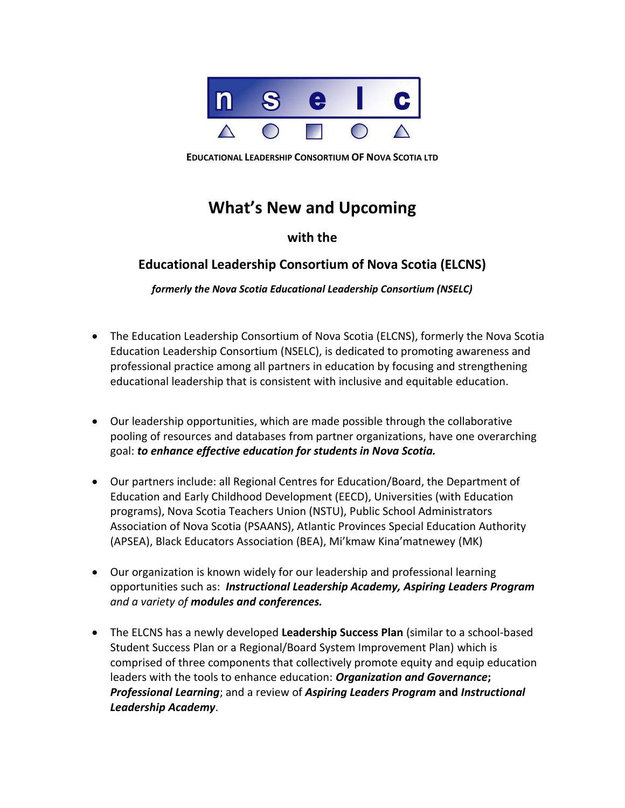

**EDUCATIONAL LEADERSHIP CONSORTIUM OF NOVA SCOTIA LTD**

## **What's New and Upcoming**

## **with the**

## **Educational Leadership Consortium of Nova Scotia (ELCNS)**

*formerly the Nova Scotia Educational Leadership Consortium (NSELC)*

- The Education Leadership Consortium of Nova Scotia (ELCNS), formerly the Nova Scotia Education Leadership Consortium (NSELC), is dedicated to promoting awareness and professional practice among all partners in education by focusing and strengthening educational leadership that is consistent with inclusive and equitable education.
- Our leadership opportunities, which are made possible through the collaborative pooling of resources and databases from partner organizations, have one overarching goal: *to enhance effective education for students in Nova Scotia.*
- Our partners include: all Regional Centres for Education/Board, the Department of Education and Early Childhood Development (EECD), Universities (with Education programs), Nova Scotia Teachers Union (NSTU), Public School Administrators Association of Nova Scotia (PSAANS), Atlantic Provinces Special Education Authority (APSEA), Black Educators Association (BEA), Mi'kmaw Kina'matnewey (MK)
- Our organization is known widely for our leadership and professional learning opportunities such as: *Instructional Leadership Academy, Aspiring Leaders Program and a variety of modules and conferences.*
- The ELCNS has a newly developed **Leadership Success Plan** (similar to a school-based Student Success Plan or a Regional/Board System Improvement Plan) which is comprised of three components that collectively promote equity and equip education leaders with the tools to enhance education: *Organization and Governance***;** *Professional Learning*; and a review of *Aspiring Leaders Program* **and** *Instructional Leadership Academy*.